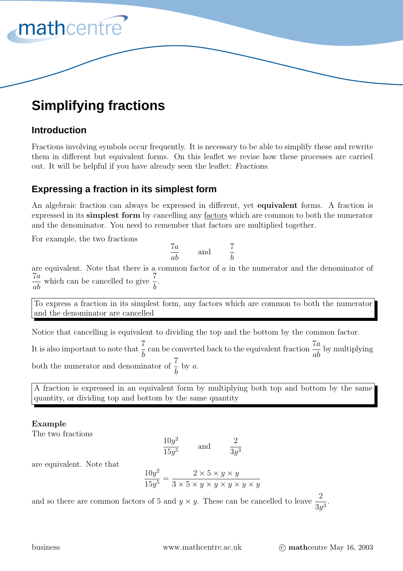

# **Simplifying fractions**

# **Introduction**

Fractions involving symbols occur frequently. It is necessary to be able to simplify these and rewrite them in different but equivalent forms. On this leaflet we revise how these processes are carried out. It will be helpful if you have already seen the leaflet: *Fractions*.

# **Expressing a fraction in its simplest form**

An algebraic fraction can always be expressed in different, yet **equivalent** forms. A fraction is expressed in its **simplest form** by cancelling any factors which are common to both the numerator and the denominator. You need to remember that factors are multiplied together.

For example, the two fractions

$$
\frac{7a}{ab} \qquad \text{and} \qquad \frac{7}{b}
$$

are equivalent. Note that there is a common factor of  $a$  in the numerator and the denominator of  $\frac{7a}{ab}$  which can be cancelled to give  $\frac{7}{b}$ .

To express a fraction in its simplest form, any factors which are common to both the numerator and the denominator are cancelled

Notice that cancelling is equivalent to dividing the top and the bottom by the common factor.

It is also important to note that  $\frac{7}{b}$  can be converted back to the equivalent fraction  $\frac{7a}{ab}$  by multiplying both the numerator and denominator of  $\frac{7}{1}$  $\frac{1}{b}$  by a.

A fraction is expressed in an equivalent form by multiplying both top and bottom by the same quantity, or dividing top and bottom by the same quantity

# **Example**

The two fractions

$$
\frac{10y^2}{15y^5} \qquad \text{and} \qquad \frac{2}{3y^3}
$$

are equivalent. Note that

$$
\frac{10y^2}{15y^5} = \frac{2 \times 5 \times y \times y}{3 \times 5 \times y \times y \times y \times y \times y \times y}
$$

and so there are common factors of 5 and  $y \times y$ . These can be cancelled to leave  $\frac{2}{2}$  $\frac{2}{3y^3}$ .

business www.mathcentre.ac.uk